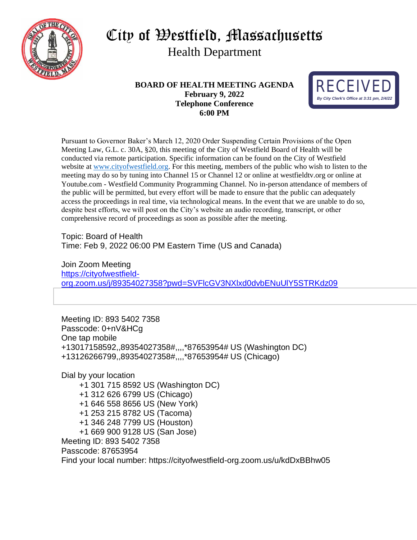

# City of Westfield, Massachusetts Health Department

**BOARD OF HEALTH MEETING AGENDA February 9, 2022 Telephone Conference 6:00 PM**



Pursuant to Governor Baker's March 12, 2020 Order Suspending Certain Provisions of the Open Meeting Law, G.L. c. 30A, §20, this meeting of the City of Westfield Board of Health will be conducted via remote participation. Specific information can be found on the City of Westfield website at [www.cityofwestfield.org.](http://www.cityofwestfield.org/) For this meeting, members of the public who wish to listen to the meeting may do so by tuning into Channel 15 or Channel 12 or online at westfieldtv.org or online at Youtube.com - Westfield Community Programming Channel. No in-person attendance of members of the public will be permitted, but every effort will be made to ensure that the public can adequately access the proceedings in real time, via technological means. In the event that we are unable to do so, despite best efforts, we will post on the City's website an audio recording, transcript, or other comprehensive record of proceedings as soon as possible after the meeting.

Topic: Board of Health Time: Feb 9, 2022 06:00 PM Eastern Time (US and Canada)

Join Zoom Meeting [https://cityofwestfield](https://cityofwestfield-org.zoom.us/j/89354027358?pwd=SVFlcGV3NXlxd0dvbENuUlY5STRKdz09)[org.zoom.us/j/89354027358?pwd=SVFlcGV3NXlxd0dvbENuUlY5STRKdz09](https://cityofwestfield-org.zoom.us/j/89354027358?pwd=SVFlcGV3NXlxd0dvbENuUlY5STRKdz09)

Meeting ID: 893 5402 7358 Passcode: 0+nV&HCg One tap mobile +13017158592,,89354027358#,,,,\*87653954# US (Washington DC) +13126266799,,89354027358#,,,,\*87653954# US (Chicago)

Dial by your location +1 301 715 8592 US (Washington DC) +1 312 626 6799 US (Chicago) +1 646 558 8656 US (New York) +1 253 215 8782 US (Tacoma) +1 346 248 7799 US (Houston) +1 669 900 9128 US (San Jose) Meeting ID: 893 5402 7358 Passcode: 87653954 Find your local number: https://cityofwestfield-org.zoom.us/u/kdDxBBhw05